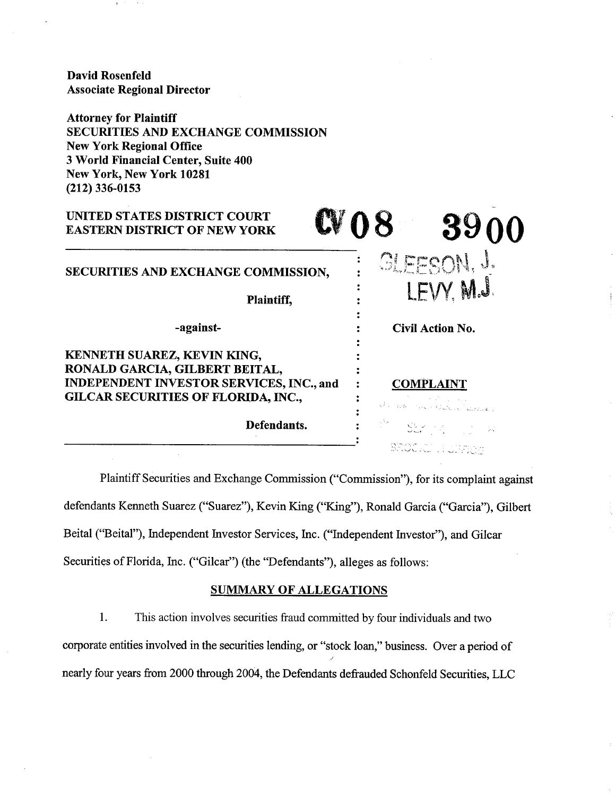David Rosenfeld Associate Regional Director

Attorney for Plaintiff SECURITIES AND EXCHANGE COMMISSION New York Regional Office **3** World Financial Center, Suite **400**  New York, New York **10281 (212) 336-0153** 

# UNITED STATES DISTRICT COURT EASTERN DISTRICT OF NEW YORK  $=$  GLEESON, J. SECURITIES AND EXCHANGE COMMISSION, *8.* . LEVY. M.J  $\ddot{\cdot}$ Plaintiff,  $\ddot{\phantom{a}}$ -against-Civil Action No.  $\ddot{\phantom{a}}$ KENNETH SUAREZ, KEVIN KING,  $\ddot{\cdot}$ RONALD GARCIA, GILBERT BEITAL, INDEPENDENT INVESTOR SERVICES, INC., and : COMPLAINT GILCAR SECURITIES OF FLORIDA, INC., **ii**  Defendants. SROCKE HUNTIOS

Plaintiff Securities and Exchange Commission ("Commission"), for its complaint against defendants Kenneth Suarez ("Suarez"), Kevin King ("King"), Ronald Garcia ("Garcia"), Gilbert Beital ("Beital"), Independent Investor Services, Inc. ("Independent Investor"), and Gilcar Securities of Florida, Inc. ("Gilcar") (the "Defendants"), alleges as follows:

## SUMMARY OF ALLEGATIONS

1. This action involves securities fiaud committed by four individuals and two corporate entities involved in the securities lending, or "stock loan," business. Over a period of nearly four years from 2000 through 2004, the Defendants defrauded Schonfeld Securities, LLC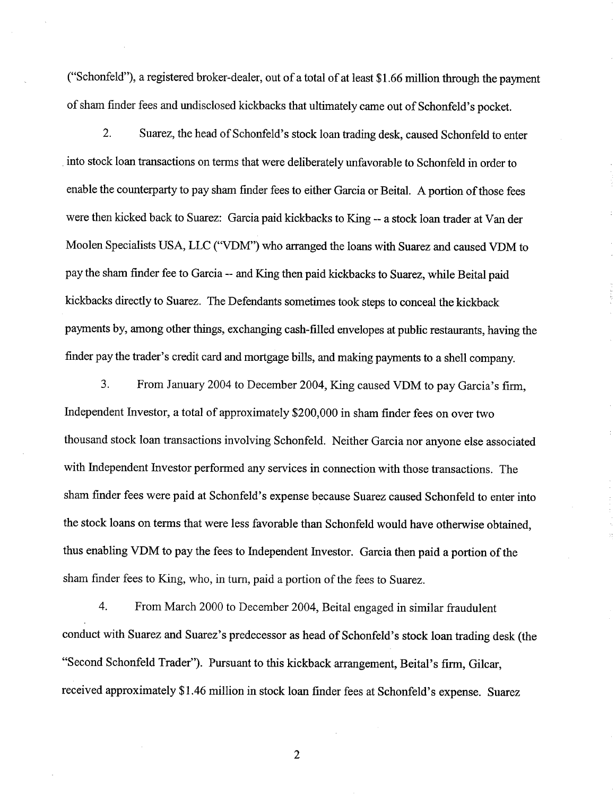("Schonfeld"), a registered broker-dealer, out of a total of at least \$1.66 million through the payment of sham finder fees and undisclosed kickbacks that ultimately came out of Schonfeld's pocket.

2. Suarez, the head of Schonfeld's stock loan trading desk, caused Schonfeld to enter into stock loan transactions on terms that were deliberately unfavorable to Schonfeld in order to enable the counterparty to pay sham finder fees to either Garcia or Beital. A portion of those fees were then kicked back to Suarez: Garcia paid kickbacks to King -- a stock loan trader at Van der Moolen Specialists USA, LLC ("VDM") who arranged the loans with Suarez and caused VDM to pay the sham finder fee to Garcia -- and King then paid kickbacks to Suarez, whle Beital paid kickbacks directly to Suarez. The Defendants sometimes took steps to conceal the kickback payments by, among other things, exchanging cash-filled envelopes at public restaurants, having the finder pay the trader's credit card and mortgage bills, and making payments to a shell company.

*3.* From January 2004 to December 2004, King caused VDM to pay Garcia's firm, Independent Investor, a total of approximately \$200,000 in sham finder fees on over two thousand stock loan transactions involving Schonfeld. Neither Garcia nor anyone else associated with Independent Investor performed any services in connection with those transactions. The sham finder fees were paid at Schonfeld's expense because Suarez caused Schonfeld to enter into the stock loans on terms that were less favorable than Schonfeld would have otherwise obtained, thus enabling VDM to pay the fees to Independent Investor. Garcia then paid a portion of the sham finder fees to King, who, in turn, paid a portion of the fees to Suarez.

4. From March 2000 to December 2004, Beital engaged in similar fraudulent conduct with Suarez and Suarez's predecessor as head of Schonfeld's stock loan trading desk (the "Second Schonfeld Trader"). Pursuant to this kickback arrangement, Beital's firm, Gilcar, received approximately \$1.46 million in stock loan finder fees at Schonfeld's expense. Suarez

 $\overline{2}$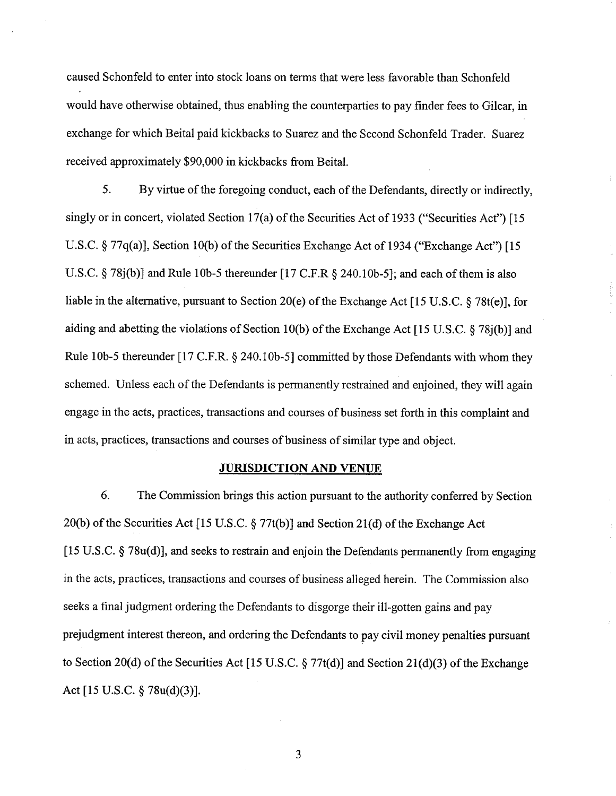caused Schonfeld to enter into stock loans on terms that were less favorable than Schonfeld would have otherwise obtained, thus enabling the counterparties to pay finder fees to Gilcar, in exchange for which Beital paid kickbacks to Suarez and the Second Schonfeld Trader. Suarez received approximately \$90,000 in kickbacks from Beital.

5. By virtue of the foregoing conduct, each of the Defendants, directly or indirectly, singly or in concert, violated Section 17(a) of the Securities Act of 1933 ("Securities Act") [15] U.S.C. 5 77q(a)], Section 10(b) of the Securities Exchange Act of 1934 ("Exchange Act") [15 U.S.C.  $\S 78j(b)$ ] and Rule 10b-5 thereunder [17 C.F.R  $\S 240.10b-5$ ]; and each of them is also liable in the alternative, pursuant to Section 20(e) of the Exchange Act [15 U.S.C. 5 78t(e)], for aiding and abetting the violations of Section 10(b) of the Exchange Act [15 U.S.C. 5 78j(b)] and Rule 10b-5 thereunder [17 C.F.R.  $\S$  240.10b-5] committed by those Defendants with whom they schemed. Unless each of the Defendants is permanently restrained and enjoined, they will again engage in the acts, practices, transactions and courses of business set forth in this complaint and in acts, practices, transactions and courses of business of similar type and object.

## **JURISDICTION AND VENUE**

*6.* The Commission brings this action pursuant to the authority conferred by Section 20(b) of the Securities Act [15 U.S.C.  $\S 77t(b)$ ] and Section 21(d) of the Exchange Act [15 U.S.C. 5 78u(d)], and seeks to restrain and enjoin the Defendants permanently from engaging in the acts, practices, transactions and courses of business alleged herein. The Commission also seeks a final judgment ordering the Defendants to disgorge their ill-gotten gains and pay prejudgment interest thereon, and ordering the Defendants to pay civil money penalties pursuant to Section 20(d) of the Securities Act [15 U.S.C. 5 77t(d)] and Section 21(d)(3) of the Exchange Act [15 U.S.C. @ 78u(d)(3)].

 $\overline{\mathbf{3}}$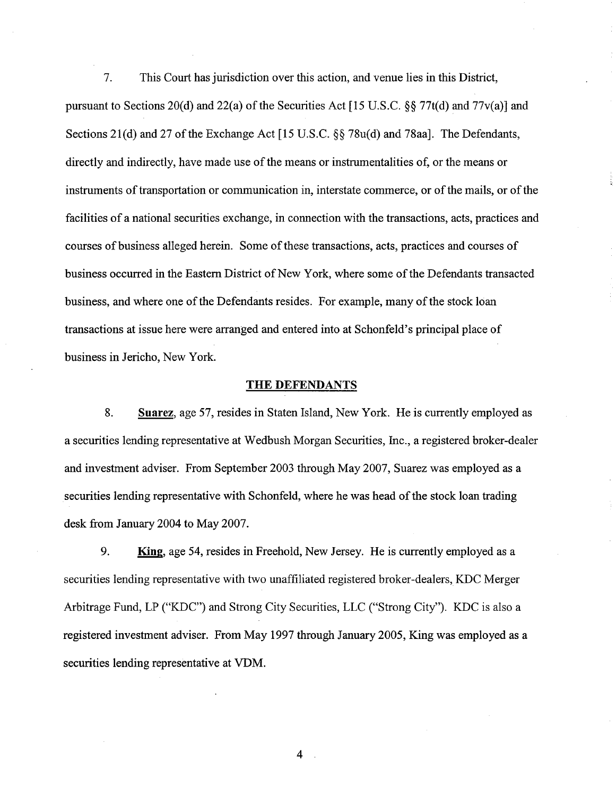7. This Court has jurisdiction over this action, and venue lies in this District, pursuant to Sections 20(d) and 22(a) of the Securities Act [15 U.S.C. **\$9** 77t(d) and 77v(a)] and Sections 21(d) and 27 of the Exchange Act [15 U.S.C. **\$6** 78u(d) and 78aal. The Defendants, directly and indirectly, have made use of the means or instrumentalities of, or the means or instruments of transportation or communication in, interstate commerce, or of the mails, or of the facilities of a national securities exchange, in connection with the transactions, acts, practices and courses of business alleged herein. Some of these transactions, acts, practices and courses of business occurred in the Eastern District of New York, where some of the Defendants transacted business, and where one of the Defendants resides. For example, many of the stock loan transactions at issue here were arranged and entered into at Schonfeld's principal place of business in Jericho, New York. 8. Suarez, age 57, resides in Staten Island, New York. He is currently employed as<br>
in Jericho, New York. He is currently employed as<br>
8. Suarez, age 57, resides in Staten Island, New York. He is currently employed as<br>
ies

### **THE DEFENDANTS**

a securities lending representative at Wedbush Morgan Securities, Inc., a registered broker-dealer and investment adviser. From September 2003 through May 2007, Suarez was employed as a securities lending representative with Schonfeld, where he was head of the stock loan trading desk fiom January 2004 to May 2007.

9. **King,** age 54, resides in Freehold, New Jersey. He is currently employed as a securities lending representative with two unaffiliated registered broker-dealers, KDC Merger Arbitrage Fund, LP ("KDC") and Strong City Securities, LLC ("Strong City"). KDC is also a registered investment adviser. From May 1997 through January 2005, King was employed as a securities lending representative at VDM.

 $\overline{4}$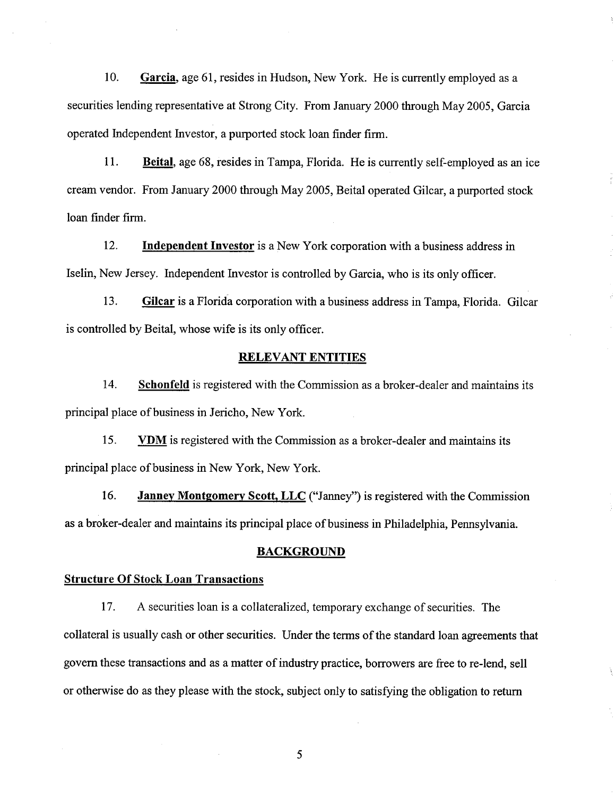10. Garcia, age 61, resides in Hudson, New York. He is currently employed as a securities lending representative at Strong City. From January 2000 through May 2005, Garcia operated Independent Investor, a purported stock loan finder firm.

11. Beital, age 68, resides in Tampa, Florida. He is currently self-employed as an ice cream vendor. From January 2000 through May 2005, Beital operated Gilcar, a purported stock loan finder firm.

12. Independent Investor is a New York corporation with a business address in Iselin, New Jersey. Independent Investor is controlled by Garcia, who is its only officer.

13. Gilcar is a Florida corporation with a business address in Tampa, Florida. Gilcar is controlled by Beital, whose wife is its only officer.

## RELEVANT ENTITIES

14. Schonfeld is registered with the Commission as a broker-dealer and maintains its principal place of business in Jericho, New York.

15. VDM is registered with the Commission as a broker-dealer and maintains its principal place of business in New York, New York.

16. **Janney Montgomery Scott, LLC** ("Janney") is registered with the Commission as a broker-dealer and maintains its principal place of business in Philadelphia, Pennsylvania.

### BACKGROUND

### Structure Of Stock Loan Transactions

17. A securities loan is a collateralized, temporary exchange of securities. The collateral is usually cash or other securities. Under the terms of the standard loan agreements that govern these transactions and as a matter of industry practice, borrowers are free to re-lend, sell or otherwise do as they please with the stock, subject only to satisfying the obligation to return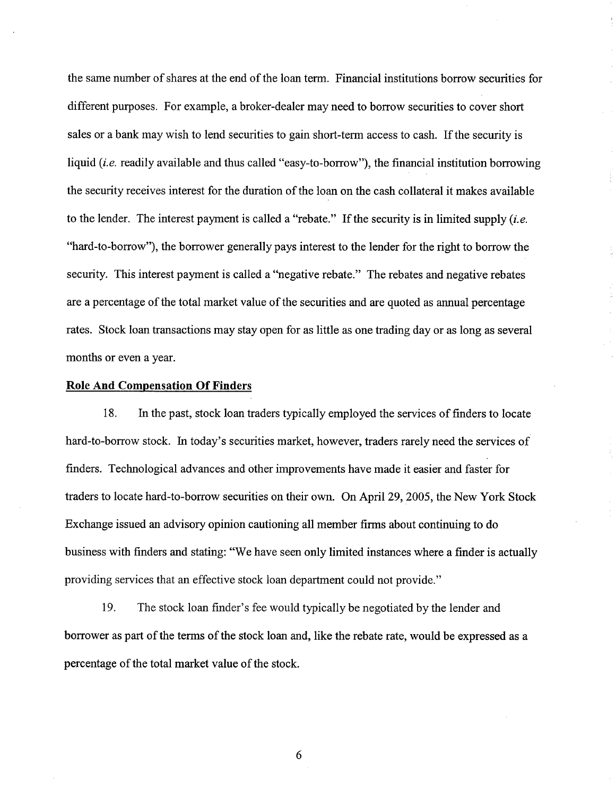the same number of shares at the end of the loan term. Financial institutions borrow securities for different purposes. For example, a broker-dealer may need to borrow securities to cover short sales or a bank may wish to lend securities to gain short-term access to cash. If the security is liquid *(i.e.* readily available and thus called "easy-to-borrow"), the financial institution borrowing the security receives interest for the duration of the loan on the cash collateral it makes available to the lender. The interest payment is called a "rebate." If the security is in limited supply *(i.e.*  "hard-to-borrow"), the borrower generally pays interest to the lender for the right to borrow the security. This interest payment is called a "negative rebate." The rebates and negative rebates are a percentage of the total market value of the securities and are quoted as annual percentage rates. Stock loan transactions may stay open for as little as one trading day or as long as several months or even a year.

## **Role And Compensation Of Finders**

18. In the past, stock loan traders typically employed the services of finders to locate hard-to-borrow stock. In today's securities market, however, traders rarely need the services of finders. Technological advances and other improvements have made it easier and faster for traders to locate hard-to-borrow securities on their own. On April 29,2005, the New York Stock Exchange issued an advisory opinion cautioning all member firms about continuing to do business with finders and stating: "We have seen only limited instances where a finder is actually providing services that an effective stock loan department could not provide."

19. The stock loan finder's fee would typically be negotiated by the lender and borrower as part of the terms of the stock loan and, like the rebate rate, would be expressed as a percentage of the total market value of the stock.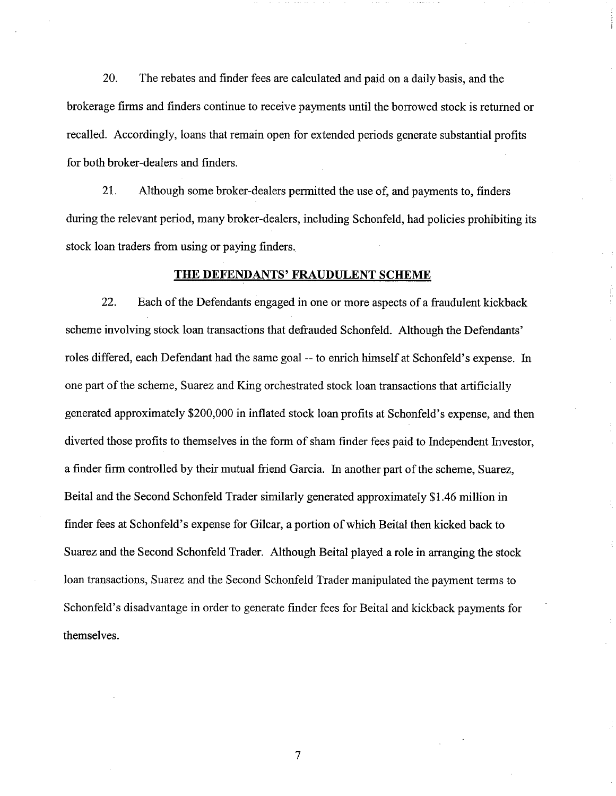20. The rebates and finder fees are calculated and paid on a daily basis, and the brokerage firms and finders continue to receive payments until the borrowed stock is returned or recalled. Accordingly, loans that remain open for extended periods generate substantial profits for both broker-dealers and finders.

21. Although some broker-dealers permitted the use of, and payments to, finders during the relevant period, many broker-dealers, including Schonfeld, had policies prohibiting its stock loan traders from using or paying finders.

## **THE DEFENDANTS' FRAUDULENT SCHEME**

22. Each of the Defendants engaged in one or more aspects of a fraudulent kickback scheme involving stock loan transactions that defrauded Schonfeld. Although the Defendants' roles differed, each Defendant had the same goal -- to enrich himself at Schonfeld's expense. In one part of the scheme, Suarez and King orchestrated stock loan transactions that artificially generated approximately \$200,000 in inflated stock loan profits at Schonfeld's expense, and then diverted those profits to themselves in the form of sham finder fees paid to Independent Investor, a finder firm controlled by their mutual friend Garcia. In another part of the scheme, Suarez, Beital and the Second Schonfeld Trader similarly generated approximately \$1.46 million in finder fees at Schonfeld's expense for Gilcar, a portion of which Beital then kicked back to Suarez and the Second Schonfeld Trader. Although Beital played a role in arranging the stock loan transactions, Suarez and the Second Schonfeld Trader manipulated the payment terms to Schonfeld's disadvantage in order to generate finder fees for Beital and kickback payments for themselves.

 $\overline{7}$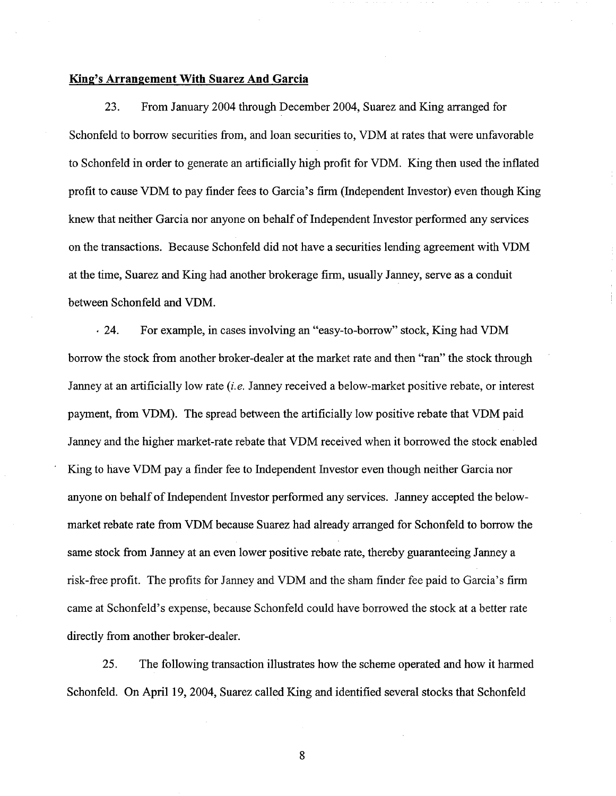#### **King's Arrangement With Suarez And Garcia**

23. From January 2004 through December 2004, Suarez and King arranged for Schonfeld to borrow securities from, and loan securities to, VDM at rates that were unfavorable to Schonfeld in order to generate an artificially high profit for VDM. King then used the inflated profit to cause VDM to pay finder fees to Garcia's firm (Independent Investor) even though King knew that neither Garcia nor anyone on behalf of Independent Investor performed any services on the transactions. Because Schonfeld did not have a securities lending agreement with VDM at the time, Suarez and King had another brokerage firm, usually Janney, serve as a conduit between Schonfeld and VDM.

24. For example, in cases involving an "easy-to-borrow" stock, King had VDM borrow the stock from another broker-dealer at the market rate and then "ran" the stock through Janney at an artificially low rate *(i.e.* Janney received a below-market positive rebate, or interest payment, from VDM). The spread between the artificially low positive rebate that VDM paid Janney and the higher market-rate rebate that VDM received when it borrowed the stock enabled King to have VDM pay a finder fee to Independent Investor even though neither Garcia nor anyone on behalf of Independent Investor performed any services. Janney accepted the belowmarket rebate rate fiom VDM because Suarez had already arranged for Schonfeld to borrow the same stock from Janney at an even lower positive rebate rate, thereby guaranteeing Janney a risk-free profit. The profits for Janney and VDM and the sham finder fee paid to Garcia's firm came at Schonfeld's expense, because Schonfeld could have borrowed the stock at a better rate directly from another broker-dealer.

25. The following transaction illustrates how the scheme operated and how it harmed Schonfeld. On April 19,2004, Suarez called King and identified several stocks that Schonfeld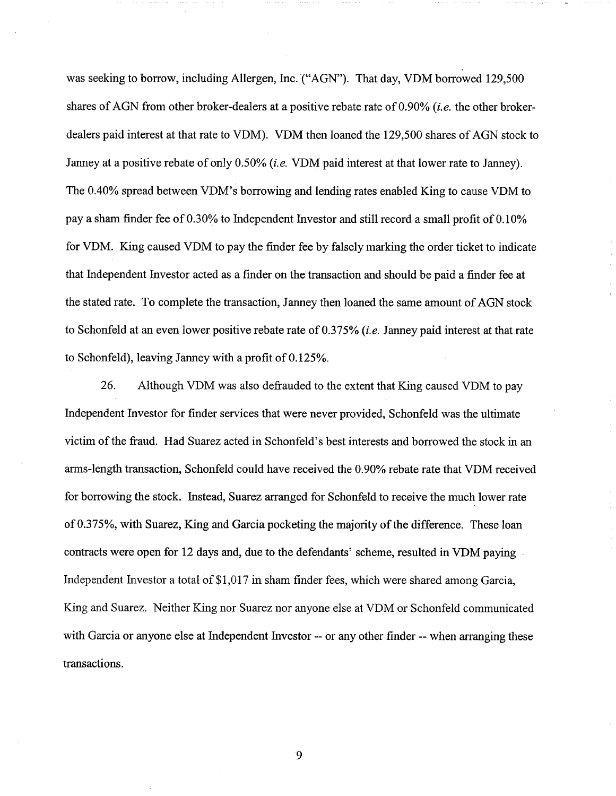was seeking to borrow, including Allergen, Inc. ("AGN"). That day, VDM borrowed 129,500 shares of AGN from other broker-dealers at a positive rebate rate of 0.90% *(i.e.* the other brokerdealers paid interest at that rate to VDM). VDM then loaned the 129,500 shares of AGN stock to Janney at a positive rebate of only 0.50% *(i.e.* VDM paid interest at that lower rate to Janney). The 0.40% spread between VDMYs borrowing and lending rates enabled King to cause VDM to pay a sham finder fee of 0.30% to Independent Investor and still record a small profit of 0.10% for VDM. King caused VDM to pay the finder fee by falsely marking the order ticket to indicate that Independent Investor acted as a finder on the transaction and should be paid a finder fee at the stated rate. To complete the transaction, Janney then loaned the same amount of AGN stock to Schonfeld at an even lower positive rebate rate of 0.375% *(i.e.* Janney paid interest at that rate to Schonfeld), leaving Janney with a profit of 0.125%.

26. Although VDM was also defrauded to the extent that King caused VDM to pay Independent Investor for finder services that were never provided, Schonfeld was the ultimate victim of the fiaud. Had Suarez acted in Schonfeld's best interests and borrowed the stock in an arms-length transaction, Schonfeld could have received the 0.90% rebate rate that VDM received for borrowing the stock. Instead, Suarez arranged for Schonfeld to receive the much lower rate of 0.375%, with Suarez, King and Garcia pocketing the majority of the difference. These loan contracts were open for 12 days and, due to the defendants' scheme, resulted in VDM paying Independent Investor a total of \$1,017 in sham finder fees, which were shared among Garcia, King and Suarez. Neither King nor Suarez nor anyone else at VDM or Schonfeld communicated with Garcia or anyone else at Independent Investor -- or any other finder -- when arranging these transactions.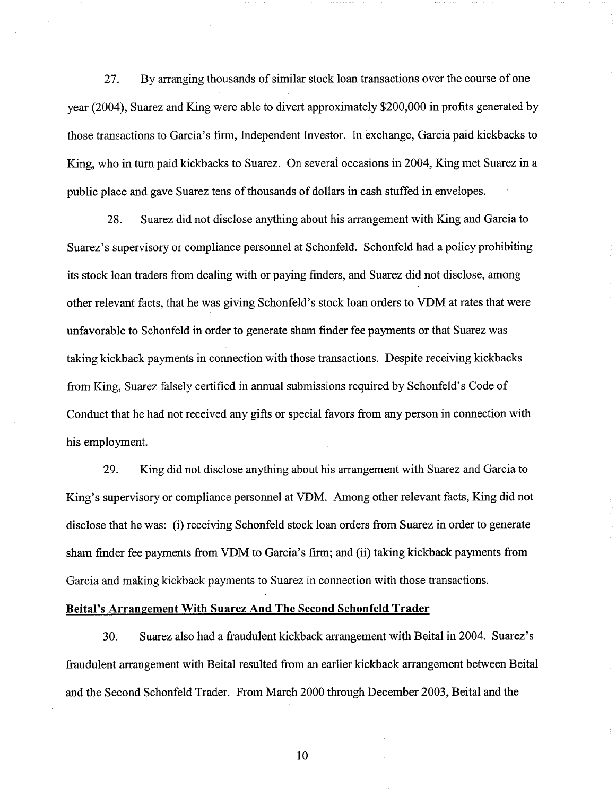27. By arranging thousands of similar stock loan transactions over the course of one year (2004), Suarez and King were able to divert approximately \$200,000 in profits generated by those transactions to Garcia's firm, Independent Investor. In exchange, Garcia paid kickbacks to King, who in turn paid kickbacks to Suarez. On several occasions in 2004, King met Suarez in a public place and gave Suarez tens of thousands of dollars in cash stuffed in envelopes.

28. Suarez did not disclose anything about his arrangement with King and Garcia to Suarez's supervisory or compliance personnel at Schonfeld. Schonfeld had a policy prohibiting its stock loan traders from dealing with or paying finders, and Suarez did not disclose, among other relevant facts, that he was giving Schonfeld's stock loan orders to VDM at rates that were unfavorable to Schonfeld in order to generate sham finder fee payments or that Suarez was taking kickback payments in connection with those transactions. Despite receiving kickbacks from King, Suarez falsely certified in annual submissions required by Schonfeld's Code of Conduct that he had not received any gifts or special favors from any person in connection with his employment.

**29.** King did not disclose anything about his arrangement with Suarez and Garcia to King's supervisory or compliance personnel at VDM. Among other relevant facts, King did not disclose that he was: (i) receiving Schonfeld stock loan orders from Suarez in order to generate sham finder fee payments from VDM to Garcia's firm; and (ii) taking kickback payments from Garcia and making kickback payments to Suarez in connection with those transactions.

### **Beital's Arrangement With Suarez And The Second Schonfeld Trader**

30. Suarez also had a fraudulent kickback arrangement with Beital in 2004. Suarez's fraudulent arrangement with Beital resulted from an earlier kickback arrangement between Beital and the Second Schonfeld Trader. From March 2000 through December 2003, Beital and the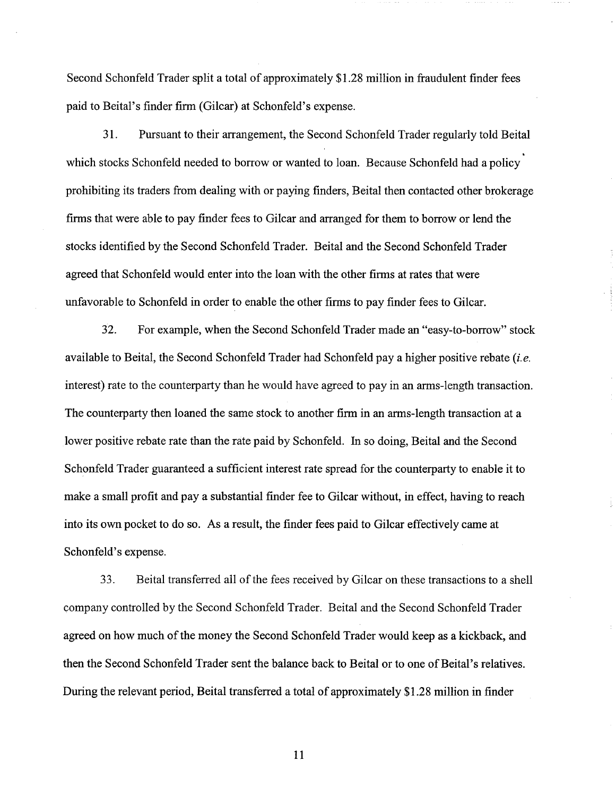Second Schonfeld Trader split a total of approximately \$1.28 million in fraudulent finder fees paid to Beital's finder finn (Gilcar) at Schonfeld's expense.

3 1. Pursuant to their arrangement, the Second Schonfeld Trader regularly told Beital which stocks Schonfeld needed to borrow or wanted to loan. Because Schonfeld had a policy prohibiting its traders from dealing with or paying finders, Beital then contacted other brokerage firms that were able to pay finder fees to Gilcar and arranged for them to borrow or lend the stocks identified by the Second Schonfeld Trader. Beital and the Second Schonfeld Trader agreed that Schonfeld would enter into the loan with the other firms at rates that were unfavorable to Schonfeld in order to enable the other firms to pay finder fees to Gilcar.

32. For example, when the Second Schonfeld Trader made an "easy-to-borrow" stock available to Beital, the Second Schonfeld Trader had Schonfeld pay a higher positive rebate *(i.e.*  interest) rate to the counterparty than he would have agreed to pay in an arms-length transaction. The counterparty then loaned the same stock to another firm in an arms-length transaction at a lower positive rebate rate than the rate paid by Schonfeld. In so doing, Beital and the Second Schonfeld Trader guaranteed a sufficient interest rate spread for the counterparty to enable it to make a small profit and pay a substantial finder fee to Gilcar without, in effect, having to reach into its own pocket to do so. As a result, the finder fees paid to Gilcar effectively came at Schonfeld's expense.

**33.** Beital transferred all of the fees received by Gilcar on these transactions to a shell company controlled by the Second Schonfeld Trader. Beital and the Second Schonfeld Trader agreed on how much of the money the Second Schonfeld Trader would keep as a kickback, and then the Second Schonfeld Trader sent the balance back to Beital or to one of Beital's relatives. During the relevant period, Beital transferred a total of approximately \$1.28 million in finder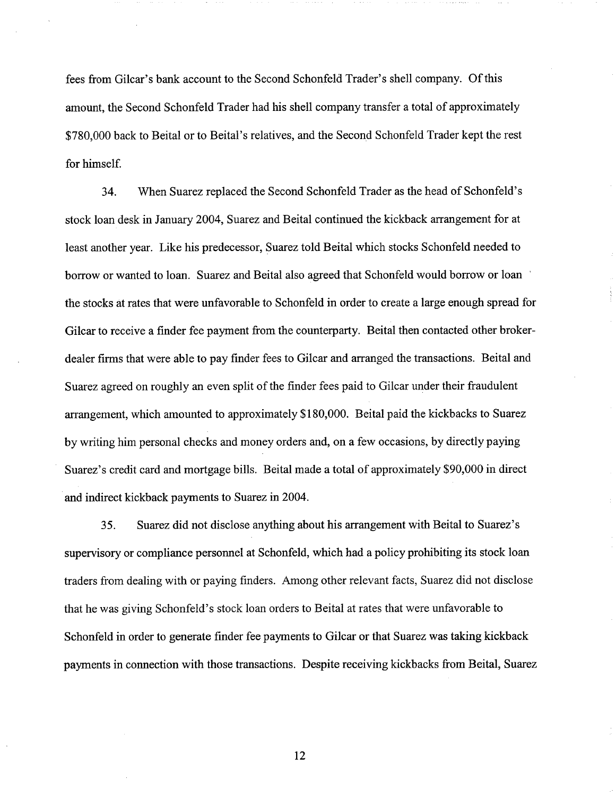fees from Gilcar's bank account to the Second Schonfeld Trader's shell company. Of this amount, the Second Schonfeld Trader had his shell company transfer a total of approximately \$780,000 back to Beital or to Beital's relatives, and the Second Schonfeld Trader kept the rest for himself.

34. When Suarez replaced the Second Schonfeld Trader as the head of Schonfeld's stock loan desk in January 2004, Suarez and Beital continued the kickback arrangement for at least another year. Like his predecessor, Suarez told Beital which stocks Schonfeld needed to borrow or wanted to loan. Suarez and Beital also agreed that Schonfeld would borrow or loan the stocks at rates that were unfavorable to Schonfeld in order to create a large enough spread for Gilcar to receive a finder fee payment fiom the counterparty. Beital then contacted other brokerdealer firms that were able to pay finder fees to Gilcar and arranged the transactions. Beital and Suarez agreed on roughly an even split of the finder fees paid to Gilcar under their fraudulent arrangement, which amounted to approximately \$180,000. Beital paid the kickbacks to Suarez by writing him personal checks and money orders and, on a few occasions, by directly paying Suarez's credit card and mortgage bills. Beital made a total of approximately \$90,000 in direct and indirect kickback payments to Suarez in 2004.

35. Suarez did not disclose anything about his arrangement with Beital to Suarez's supervisory or compliance personnel at Schonfeld, which had a policy prohibiting its stock loan traders from dealing with or paying finders. Among other relevant facts, Suarez did not disclose that he was giving Schonfeld's stock loan orders to Beital at rates that were unfavorable to Schonfeld in order to generate finder fee payments to Gilcar or that Suarez was taking kickback payments in connection with those transactions. Despite receiving kickbacks fiom Beital, Suarez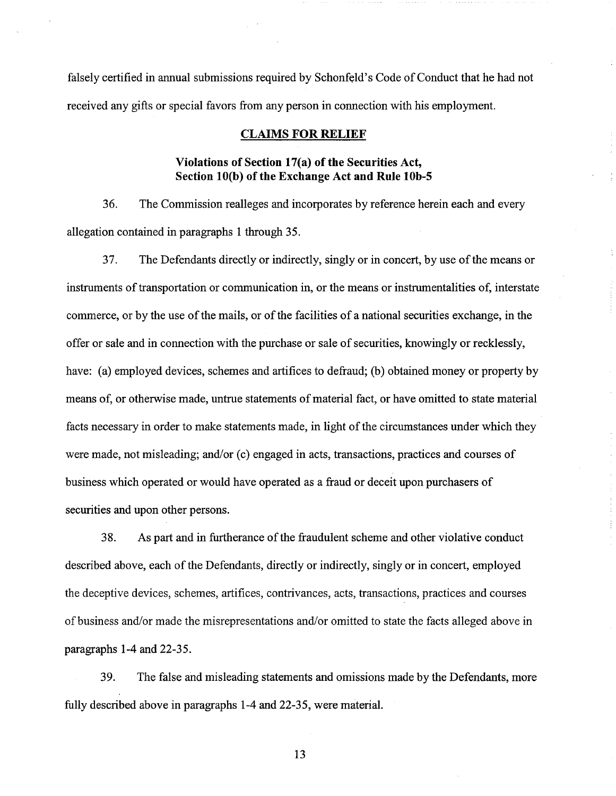falsely certified in annual submissions required by Schonfeld's Code of Conduct that he had not received any gifts or special favors from any person in connection with his employment.

### **CLAIMS FOR RELIEF**

# **Violations of Section 17(a) of the Securities Act, Section 10(b) of the Exchange Act and Rule lob-5**

36. The Commission realleges and incorporates by reference herein each and every allegation contained in paragraphs 1 through 35.

**37.** The Defendants directly or indirectly, singly or in concert, by use of the means or instruments of transportation or communication in, or the means or instrumentalities of, interstate commerce, or by the use of the mails, or of the facilities of a national securities exchange, in the offer or sale and in connection with the purchase or sale of securities, knowingly or recklessly, have: (a) employed devices, schemes and artifices to defraud; (b) obtained money or property by means of, or otherwise made, untrue statements of material fact, or have omitted to state material facts necessary in order to make statements made, in light of the circumstances under which they were made, not misleading; and/or (c) engaged in acts, transactions, practices and courses of business which operated or would have operated as a fraud or deceit upon purchasers of securities and upon other persons.

38. As part and in furtherance of the fraudulent scheme and other violative conduct described above, each of the Defendants, directly or indirectly, singly or in concert, employed the deceptive devices, schemes, artifices, contrivances, acts, transactions, practices and courses of business and/or made the misrepresentations and/or omitted to state the facts alleged above in paragraphs 1-4 and 22-35.

39. The false and misleading statements and omissions made by the Defendants, more fully described above in paragraphs 1-4 and 22-35, were material.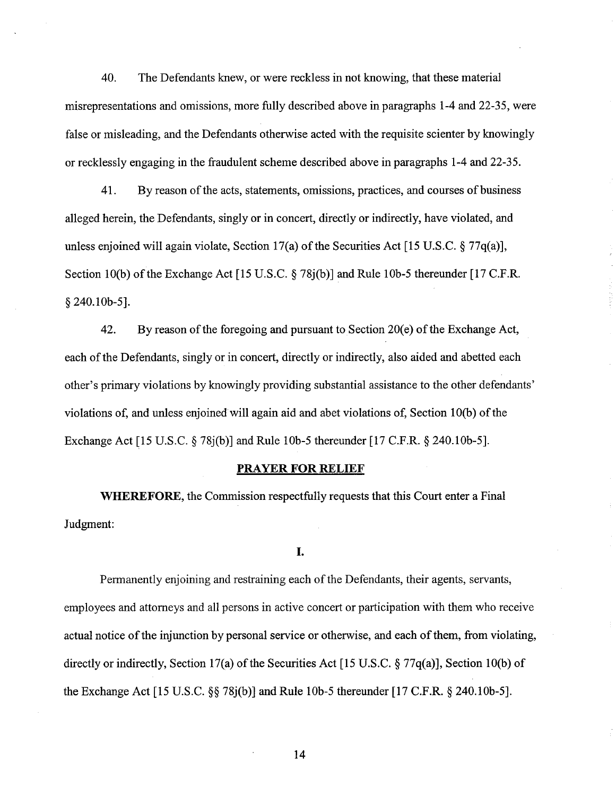40. The Defendants knew, or were reckless in not knowing, that these material misrepresentations and omissions, more fully described above in paragraphs 1-4 and 22-35, were false or misleading, and the Defendants otherwise acted with the requisite scienter by knowingly or recklessly engaging in the fraudulent scheme described above in paragraphs 1-4 and 22-35.

41. By reason of the acts, statements, omissions, practices, and courses of business alleged herein, the Defendants, singly or in concert, directly or indirectly, have violated, and unless enjoined will again violate, Section 17(a) of the Securities Act [15 U.S.C. *5* 77q(a)], Section 10(b) of the Exchange Act [15 U.S.C.  $\S$  78j(b)] and Rule 10b-5 thereunder [17 C.F.R. *5* 240.1 Ob-51.

42. By reason of the foregoing and pursuant to Section 20(e) of the Exchange Act, each of the Defendants, singly or in concert, directly or indirectly, also aided and abetted each other's primary violations by knowingly providing substantial assistance to the other defendants' violations of, and unless enjoined will again aid and abet violations of, Section 10(b) of the Exchange Act [15 U.S.C. *§* 78j(b)] and Rule 10b-5 thereunder [17 C.F.R. *§* 240.10b-5].

### **PRAYER FOR RELIEF**

WHEREFORE, the Commission respectfully requests that this Court enter a Final Judgment:

**I.** 

Permanently enjoining and restraining each of the Defendants, their agents, servants, employees and attorneys and all persons in active concert or participation with them who receive actual notice of the injunction by personal service or otherwise, and each of them, from violating, directly or indirectly, Section 17(a) of the Securities Act [15 U.S.C.  $\S 77q(a)$ ], Section 10(b) of the Exchange Act 115 U.S.C. *\$8* 78j(b)] and Rule lob-5 thereunder [17 C.F.R. *5* 240.10b-51.